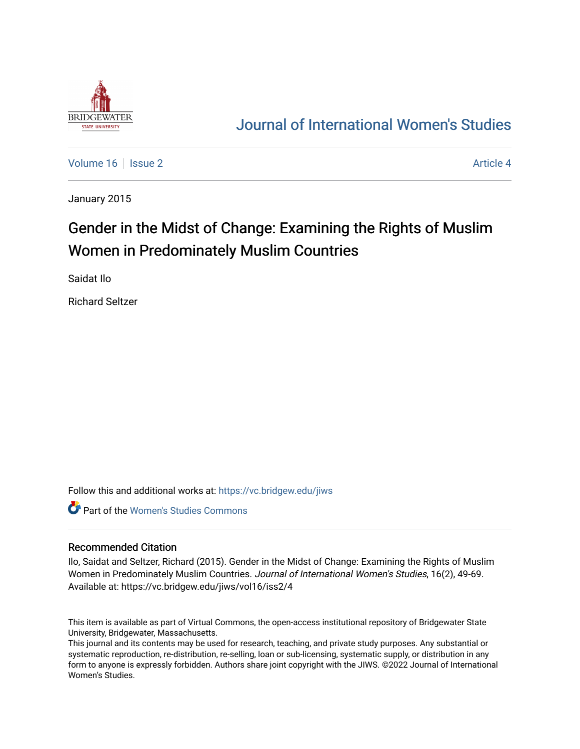

# [Journal of International Women's Studies](https://vc.bridgew.edu/jiws)

[Volume 16](https://vc.bridgew.edu/jiws/vol16) September 2 [Article 4](https://vc.bridgew.edu/jiws/vol16/iss2/4) Article 4

January 2015

# Gender in the Midst of Change: Examining the Rights of Muslim Women in Predominately Muslim Countries

Saidat Ilo

Richard Seltzer

Follow this and additional works at: [https://vc.bridgew.edu/jiws](https://vc.bridgew.edu/jiws?utm_source=vc.bridgew.edu%2Fjiws%2Fvol16%2Fiss2%2F4&utm_medium=PDF&utm_campaign=PDFCoverPages)

**C** Part of the Women's Studies Commons

#### Recommended Citation

Ilo, Saidat and Seltzer, Richard (2015). Gender in the Midst of Change: Examining the Rights of Muslim Women in Predominately Muslim Countries. Journal of International Women's Studies, 16(2), 49-69. Available at: https://vc.bridgew.edu/jiws/vol16/iss2/4

This item is available as part of Virtual Commons, the open-access institutional repository of Bridgewater State University, Bridgewater, Massachusetts.

This journal and its contents may be used for research, teaching, and private study purposes. Any substantial or systematic reproduction, re-distribution, re-selling, loan or sub-licensing, systematic supply, or distribution in any form to anyone is expressly forbidden. Authors share joint copyright with the JIWS. ©2022 Journal of International Women's Studies.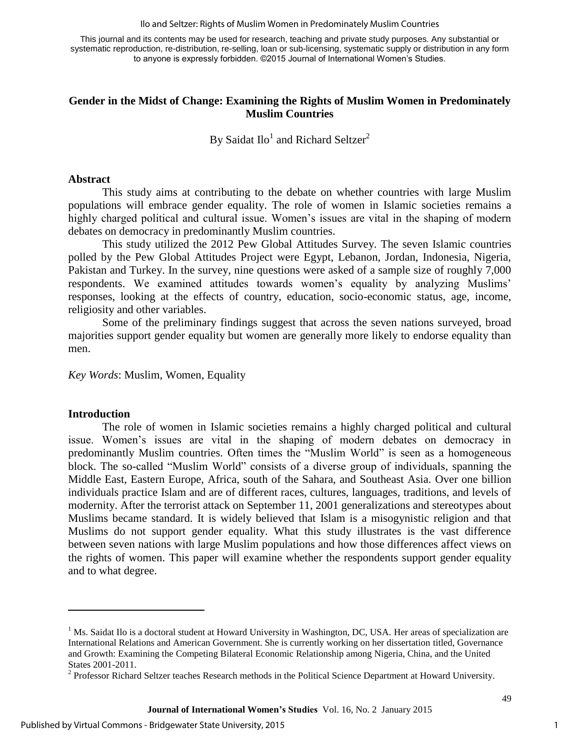Ilo and Seltzer: Rights of Muslim Women in Predominately Muslim Countries

This journal and its contents may be used for research, teaching and private study purposes. Any substantial or systematic reproduction, re-distribution, re-selling, loan or sub-licensing, systematic supply or distribution in any form to anyone is expressly forbidden. ©2015 Journal of International Women's Studies.

## **Gender in the Midst of Change: Examining the Rights of Muslim Women in Predominately Muslim Countries**

By Saidat  $Ilo^1$  and Richard Seltzer<sup>2</sup>

### **Abstract**

This study aims at contributing to the debate on whether countries with large Muslim populations will embrace gender equality. The role of women in Islamic societies remains a highly charged political and cultural issue. Women's issues are vital in the shaping of modern debates on democracy in predominantly Muslim countries.

This study utilized the 2012 Pew Global Attitudes Survey. The seven Islamic countries polled by the Pew Global Attitudes Project were Egypt, Lebanon, Jordan, Indonesia, Nigeria, Pakistan and Turkey. In the survey, nine questions were asked of a sample size of roughly 7,000 respondents. We examined attitudes towards women's equality by analyzing Muslims' responses, looking at the effects of country, education, socio-economic status, age, income, religiosity and other variables.

Some of the preliminary findings suggest that across the seven nations surveyed, broad majorities support gender equality but women are generally more likely to endorse equality than men.

*Key Words*: Muslim, Women, Equality

#### **Introduction**

l

The role of women in Islamic societies remains a highly charged political and cultural issue. Women's issues are vital in the shaping of modern debates on democracy in predominantly Muslim countries. Often times the "Muslim World" is seen as a homogeneous block. The so-called "Muslim World" consists of a diverse group of individuals, spanning the Middle East, Eastern Europe, Africa, south of the Sahara, and Southeast Asia. Over one billion individuals practice Islam and are of different races, cultures, languages, traditions, and levels of modernity. After the terrorist attack on September 11, 2001 generalizations and stereotypes about Muslims became standard. It is widely believed that Islam is a misogynistic religion and that Muslims do not support gender equality. What this study illustrates is the vast difference between seven nations with large Muslim populations and how those differences affect views on the rights of women. This paper will examine whether the respondents support gender equality and to what degree.

<sup>&</sup>lt;sup>1</sup> Ms. Saidat Ilo is a doctoral student at Howard University in Washington, DC, USA. Her areas of specialization are International Relations and American Government. She is currently working on her dissertation titled, Governance and Growth: Examining the Competing Bilateral Economic Relationship among Nigeria, China, and the United States 2001-2011.

 $2^{2}$  Professor Richard Seltzer teaches Research methods in the Political Science Department at Howard University.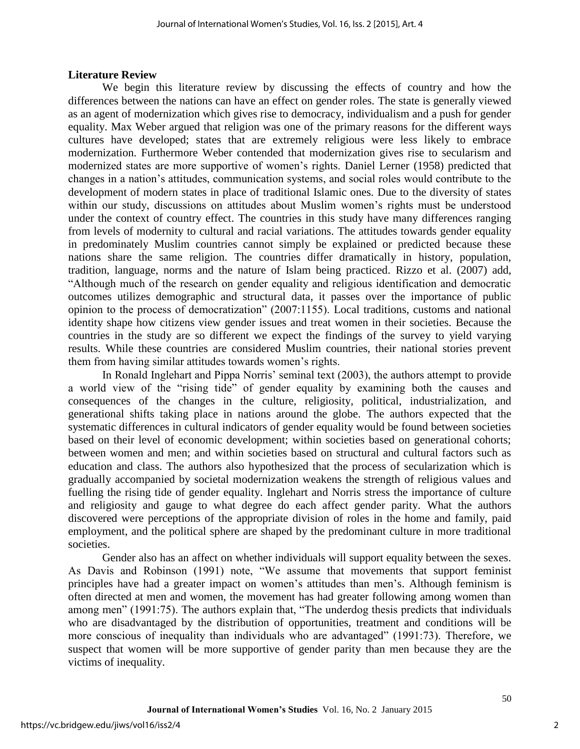## **Literature Review**

 We begin this literature review by discussing the effects of country and how the differences between the nations can have an effect on gender roles. The state is generally viewed as an agent of modernization which gives rise to democracy, individualism and a push for gender equality. Max Weber argued that religion was one of the primary reasons for the different ways cultures have developed; states that are extremely religious were less likely to embrace modernization. Furthermore Weber contended that modernization gives rise to secularism and modernized states are more supportive of women's rights. Daniel Lerner (1958) predicted that changes in a nation's attitudes, communication systems, and social roles would contribute to the development of modern states in place of traditional Islamic ones. Due to the diversity of states within our study, discussions on attitudes about Muslim women's rights must be understood under the context of country effect. The countries in this study have many differences ranging from levels of modernity to cultural and racial variations. The attitudes towards gender equality in predominately Muslim countries cannot simply be explained or predicted because these nations share the same religion. The countries differ dramatically in history, population, tradition, language, norms and the nature of Islam being practiced. Rizzo et al. (2007) add, "Although much of the research on gender equality and religious identification and democratic outcomes utilizes demographic and structural data, it passes over the importance of public opinion to the process of democratization" (2007:1155). Local traditions, customs and national identity shape how citizens view gender issues and treat women in their societies. Because the countries in the study are so different we expect the findings of the survey to yield varying results. While these countries are considered Muslim countries, their national stories prevent them from having similar attitudes towards women's rights.

In Ronald Inglehart and Pippa Norris' seminal text (2003), the authors attempt to provide a world view of the "rising tide" of gender equality by examining both the causes and consequences of the changes in the culture, religiosity, political, industrialization, and generational shifts taking place in nations around the globe. The authors expected that the systematic differences in cultural indicators of gender equality would be found between societies based on their level of economic development; within societies based on generational cohorts; between women and men; and within societies based on structural and cultural factors such as education and class. The authors also hypothesized that the process of secularization which is gradually accompanied by societal modernization weakens the strength of religious values and fuelling the rising tide of gender equality. Inglehart and Norris stress the importance of culture and religiosity and gauge to what degree do each affect gender parity. What the authors discovered were perceptions of the appropriate division of roles in the home and family, paid employment, and the political sphere are shaped by the predominant culture in more traditional societies.

Gender also has an affect on whether individuals will support equality between the sexes. As Davis and Robinson (1991) note, "We assume that movements that support feminist principles have had a greater impact on women's attitudes than men's. Although feminism is often directed at men and women, the movement has had greater following among women than among men" (1991:75). The authors explain that, "The underdog thesis predicts that individuals who are disadvantaged by the distribution of opportunities, treatment and conditions will be more conscious of inequality than individuals who are advantaged" (1991:73). Therefore, we suspect that women will be more supportive of gender parity than men because they are the victims of inequality.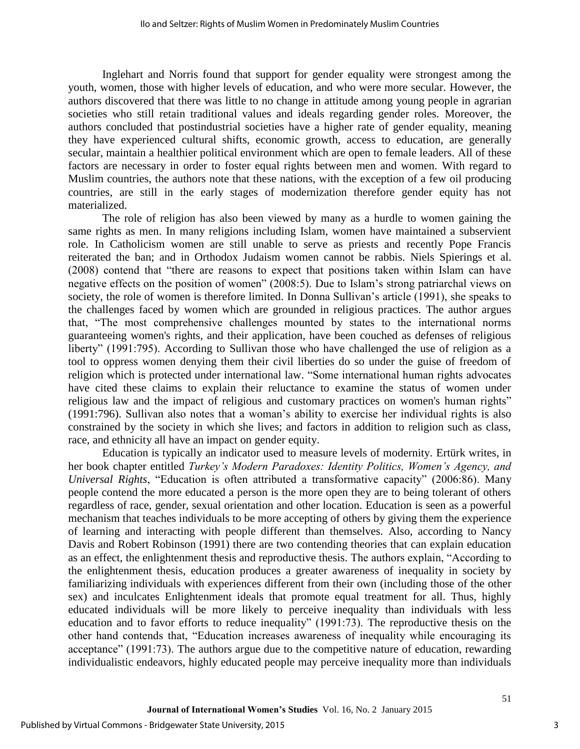Inglehart and Norris found that support for gender equality were strongest among the youth, women, those with higher levels of education, and who were more secular. However, the authors discovered that there was little to no change in attitude among young people in agrarian societies who still retain traditional values and ideals regarding gender roles. Moreover, the authors concluded that postindustrial societies have a higher rate of gender equality, meaning they have experienced cultural shifts, economic growth, access to education, are generally secular, maintain a healthier political environment which are open to female leaders. All of these factors are necessary in order to foster equal rights between men and women. With regard to Muslim countries, the authors note that these nations, with the exception of a few oil producing countries, are still in the early stages of modernization therefore gender equity has not materialized.

The role of religion has also been viewed by many as a hurdle to women gaining the same rights as men. In many religions including Islam, women have maintained a subservient role. In Catholicism women are still unable to serve as priests and recently Pope Francis reiterated the ban; and in Orthodox Judaism women cannot be rabbis. Niels Spierings et al. (2008) contend that "there are reasons to expect that positions taken within Islam can have negative effects on the position of women" (2008:5). Due to Islam's strong patriarchal views on society, the role of women is therefore limited. In Donna Sullivan's article (1991), she speaks to the challenges faced by women which are grounded in religious practices. The author argues that, "The most comprehensive challenges mounted by states to the international norms guaranteeing women's rights, and their application, have been couched as defenses of religious liberty" (1991:795). According to Sullivan those who have challenged the use of religion as a tool to oppress women denying them their civil liberties do so under the guise of freedom of religion which is protected under international law. "Some international human rights advocates have cited these claims to explain their reluctance to examine the status of women under religious law and the impact of religious and customary practices on women's human rights" (1991:796). Sullivan also notes that a woman's ability to exercise her individual rights is also constrained by the society in which she lives; and factors in addition to religion such as class, race, and ethnicity all have an impact on gender equity.

Education is typically an indicator used to measure levels of modernity. Ertürk writes, in her book chapter entitled *Turkey's Modern Paradoxes: Identity Politics, Women's Agency, and Universal Rights*, "Education is often attributed a transformative capacity" (2006:86). Many people contend the more educated a person is the more open they are to being tolerant of others regardless of race, gender, sexual orientation and other location. Education is seen as a powerful mechanism that teaches individuals to be more accepting of others by giving them the experience of learning and interacting with people different than themselves. Also, according to Nancy Davis and Robert Robinson (1991) there are two contending theories that can explain education as an effect, the enlightenment thesis and reproductive thesis. The authors explain, "According to the enlightenment thesis, education produces a greater awareness of inequality in society by familiarizing individuals with experiences different from their own (including those of the other sex) and inculcates Enlightenment ideals that promote equal treatment for all. Thus, highly educated individuals will be more likely to perceive inequality than individuals with less education and to favor efforts to reduce inequality" (1991:73). The reproductive thesis on the other hand contends that, "Education increases awareness of inequality while encouraging its acceptance" (1991:73). The authors argue due to the competitive nature of education, rewarding individualistic endeavors, highly educated people may perceive inequality more than individuals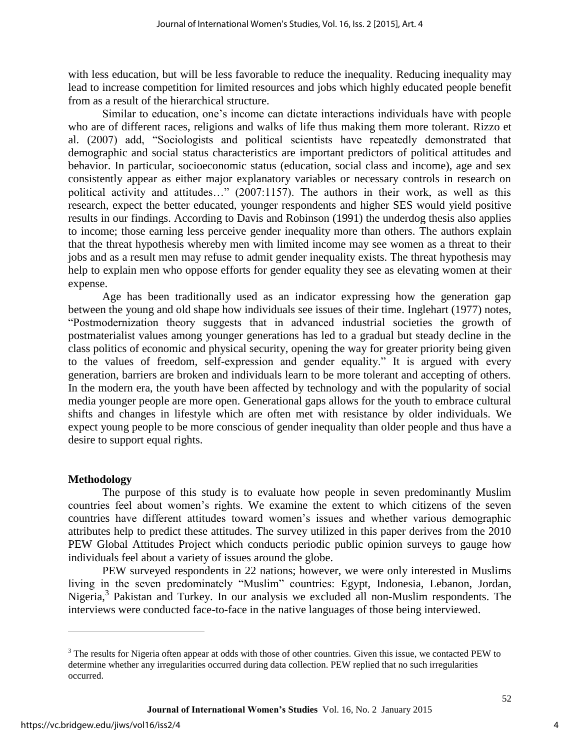with less education, but will be less favorable to reduce the inequality. Reducing inequality may lead to increase competition for limited resources and jobs which highly educated people benefit from as a result of the hierarchical structure.

Similar to education, one's income can dictate interactions individuals have with people who are of different races, religions and walks of life thus making them more tolerant. Rizzo et al. (2007) add, "Sociologists and political scientists have repeatedly demonstrated that demographic and social status characteristics are important predictors of political attitudes and behavior. In particular, socioeconomic status (education, social class and income), age and sex consistently appear as either major explanatory variables or necessary controls in research on political activity and attitudes…" (2007:1157). The authors in their work, as well as this research, expect the better educated, younger respondents and higher SES would yield positive results in our findings. According to Davis and Robinson (1991) the underdog thesis also applies to income; those earning less perceive gender inequality more than others. The authors explain that the threat hypothesis whereby men with limited income may see women as a threat to their jobs and as a result men may refuse to admit gender inequality exists. The threat hypothesis may help to explain men who oppose efforts for gender equality they see as elevating women at their expense.

Age has been traditionally used as an indicator expressing how the generation gap between the young and old shape how individuals see issues of their time. Inglehart (1977) notes, "Postmodernization theory suggests that in advanced industrial societies the growth of postmaterialist values among younger generations has led to a gradual but steady decline in the class politics of economic and physical security, opening the way for greater priority being given to the values of freedom, self-expression and gender equality." It is argued with every generation, barriers are broken and individuals learn to be more tolerant and accepting of others. In the modern era, the youth have been affected by technology and with the popularity of social media younger people are more open. Generational gaps allows for the youth to embrace cultural shifts and changes in lifestyle which are often met with resistance by older individuals. We expect young people to be more conscious of gender inequality than older people and thus have a desire to support equal rights.

## **Methodology**

The purpose of this study is to evaluate how people in seven predominantly Muslim countries feel about women's rights. We examine the extent to which citizens of the seven countries have different attitudes toward women's issues and whether various demographic attributes help to predict these attitudes. The survey utilized in this paper derives from the 2010 PEW Global Attitudes Project which conducts periodic public opinion surveys to gauge how individuals feel about a variety of issues around the globe.

PEW surveyed respondents in 22 nations; however, we were only interested in Muslims living in the seven predominately "Muslim" countries: Egypt, Indonesia, Lebanon, Jordan, Nigeria,<sup>3</sup> Pakistan and Turkey. In our analysis we excluded all non-Muslim respondents. The interviews were conducted face-to-face in the native languages of those being interviewed.

 $\overline{\phantom{a}}$ 

 $3$  The results for Nigeria often appear at odds with those of other countries. Given this issue, we contacted PEW to determine whether any irregularities occurred during data collection. PEW replied that no such irregularities occurred.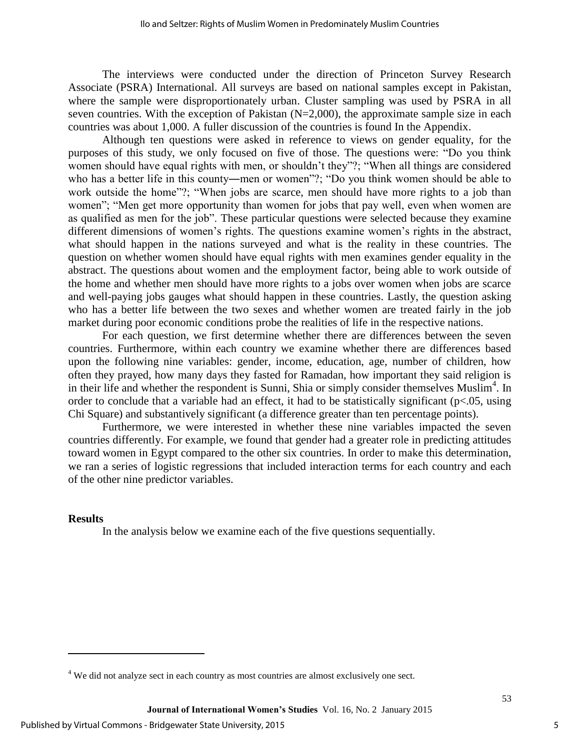The interviews were conducted under the direction of Princeton Survey Research Associate (PSRA) International. All surveys are based on national samples except in Pakistan, where the sample were disproportionately urban. Cluster sampling was used by PSRA in all seven countries. With the exception of Pakistan (N=2,000), the approximate sample size in each countries was about 1,000. A fuller discussion of the countries is found In the Appendix.

Although ten questions were asked in reference to views on gender equality, for the purposes of this study, we only focused on five of those. The questions were: "Do you think women should have equal rights with men, or shouldn't they"?; "When all things are considered who has a better life in this county—men or women"?; "Do you think women should be able to work outside the home"?; "When jobs are scarce, men should have more rights to a job than women"; "Men get more opportunity than women for jobs that pay well, even when women are as qualified as men for the job". These particular questions were selected because they examine different dimensions of women's rights. The questions examine women's rights in the abstract, what should happen in the nations surveyed and what is the reality in these countries. The question on whether women should have equal rights with men examines gender equality in the abstract. The questions about women and the employment factor, being able to work outside of the home and whether men should have more rights to a jobs over women when jobs are scarce and well-paying jobs gauges what should happen in these countries. Lastly, the question asking who has a better life between the two sexes and whether women are treated fairly in the job market during poor economic conditions probe the realities of life in the respective nations.

For each question, we first determine whether there are differences between the seven countries. Furthermore, within each country we examine whether there are differences based upon the following nine variables: gender, income, education, age, number of children, how often they prayed, how many days they fasted for Ramadan, how important they said religion is in their life and whether the respondent is Sunni, Shia or simply consider themselves Muslim<sup>4</sup>. In order to conclude that a variable had an effect, it had to be statistically significant ( $p<.05$ , using Chi Square) and substantively significant (a difference greater than ten percentage points).

 Furthermore, we were interested in whether these nine variables impacted the seven countries differently. For example, we found that gender had a greater role in predicting attitudes toward women in Egypt compared to the other six countries. In order to make this determination, we ran a series of logistic regressions that included interaction terms for each country and each of the other nine predictor variables.

#### **Results**

 $\overline{\phantom{a}}$ 

In the analysis below we examine each of the five questions sequentially.

 $4$  We did not analyze sect in each country as most countries are almost exclusively one sect.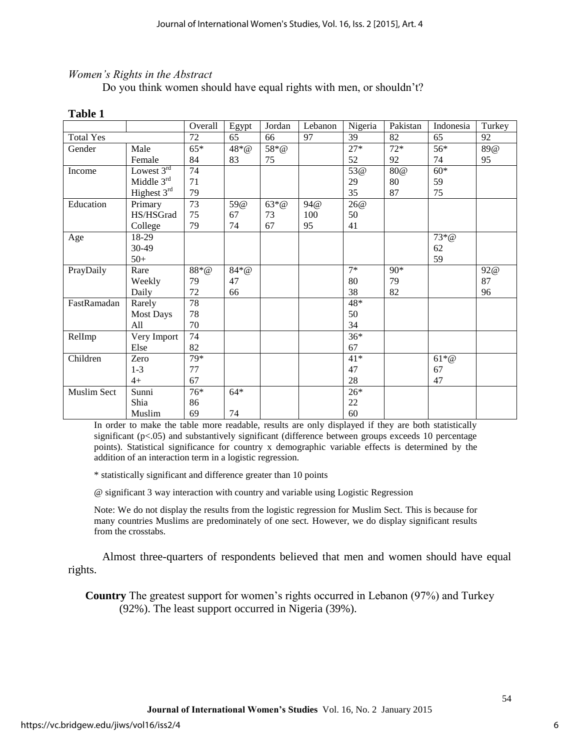## *Women's Rights in the Abstract*

Do you think women should have equal rights with men, or shouldn't?

|                    |                  | Overall | Egypt    | Jordan  | Lebanon | Nigeria | Pakistan | Indonesia     | Turkey |
|--------------------|------------------|---------|----------|---------|---------|---------|----------|---------------|--------|
| <b>Total Yes</b>   |                  | 72      | 65       | 66      | 97      | 39      | 82       | 65            | 92     |
| Gender             | Male             | $65*$   | $48 * @$ | 58*@    |         | $27*$   | $72*$    | 56*           | 89@    |
|                    | Female           | 84      | 83       | 75      |         | 52      | 92       | 74            | 95     |
| Income             | Lowest $3^{rd}$  | 74      |          |         |         | 53@     | 80@      | $60*$         |        |
|                    | Middle 3rd       | 71      |          |         |         | 29      | 80       | 59            |        |
|                    | Highest $3rd$    | 79      |          |         |         | 35      | 87       | 75            |        |
| Education          | Primary          | 73      | 59@      | $63*$ @ | 94@     | 26@     |          |               |        |
|                    | HS/HSGrad        | 75      | 67       | 73      | 100     | 50      |          |               |        |
|                    | College          | 79      | 74       | 67      | 95      | 41      |          |               |        |
| Age                | 18-29            |         |          |         |         |         |          | $73*$ @       |        |
|                    | 30-49            |         |          |         |         |         |          | 62            |        |
|                    | $50+$            |         |          |         |         |         |          | 59            |        |
| PrayDaily          | Rare             | $88*$ @ | $84*@$   |         |         | $7*$    | 90*      |               | 92@    |
|                    | Weekly           | 79      | 47       |         |         | 80      | 79       |               | 87     |
|                    | Daily            | 72      | 66       |         |         | 38      | 82       |               | 96     |
| FastRamadan        | Rarely           | 78      |          |         |         | $48*$   |          |               |        |
|                    | <b>Most Days</b> | 78      |          |         |         | 50      |          |               |        |
|                    | All              | 70      |          |         |         | 34      |          |               |        |
| RelImp             | Very Import      | 74      |          |         |         | $36*$   |          |               |        |
|                    | Else             | 82      |          |         |         | 67      |          |               |        |
| Children           | Zero             | 79*     |          |         |         | $41*$   |          | $61^{\ast} @$ |        |
|                    | $1 - 3$          | 77      |          |         |         | 47      |          | 67            |        |
|                    | $4+$             | 67      |          |         |         | 28      |          | 47            |        |
| <b>Muslim Sect</b> | Sunni            | $76*$   | $64*$    |         |         | $26*$   |          |               |        |
|                    | Shia             | 86      |          |         |         | $22\,$  |          |               |        |
|                    | Muslim           | 69      | 74       |         |         | 60      |          |               |        |

#### **Table 1**

In order to make the table more readable, results are only displayed if they are both statistically significant (p<.05) and substantively significant (difference between groups exceeds 10 percentage points). Statistical significance for country x demographic variable effects is determined by the addition of an interaction term in a logistic regression.

\* statistically significant and difference greater than 10 points

@ significant 3 way interaction with country and variable using Logistic Regression

Note: We do not display the results from the logistic regression for Muslim Sect. This is because for many countries Muslims are predominately of one sect. However, we do display significant results from the crosstabs.

 Almost three-quarters of respondents believed that men and women should have equal rights.

**Country** The greatest support for women's rights occurred in Lebanon (97%) and Turkey (92%). The least support occurred in Nigeria (39%).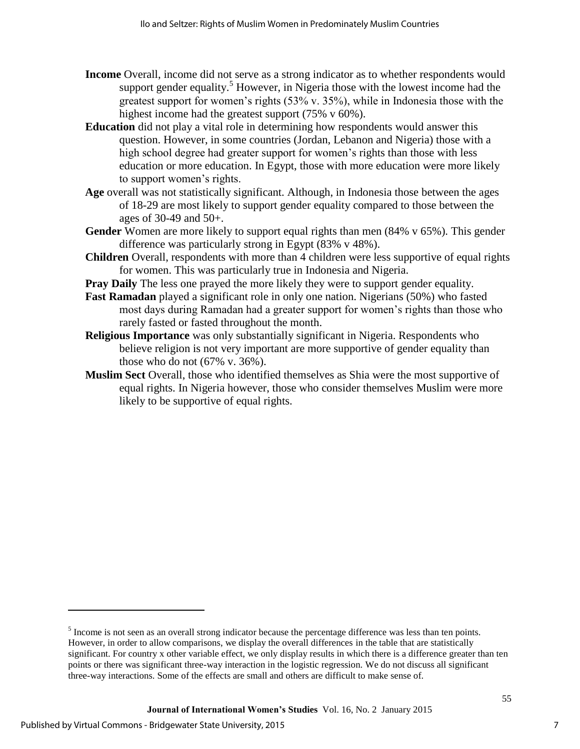- **Income** Overall, income did not serve as a strong indicator as to whether respondents would support gender equality.<sup>5</sup> However, in Nigeria those with the lowest income had the greatest support for women's rights  $(53\% \text{ v. } 35\%)$ , while in Indonesia those with the highest income had the greatest support (75% v 60%).
- **Education** did not play a vital role in determining how respondents would answer this question. However, in some countries (Jordan, Lebanon and Nigeria) those with a high school degree had greater support for women's rights than those with less education or more education. In Egypt, those with more education were more likely to support women's rights.
- **Age** overall was not statistically significant. Although, in Indonesia those between the ages of 18-29 are most likely to support gender equality compared to those between the ages of 30-49 and 50+.
- **Gender** Women are more likely to support equal rights than men (84% v 65%). This gender difference was particularly strong in Egypt (83% v 48%).
- **Children** Overall, respondents with more than 4 children were less supportive of equal rights for women. This was particularly true in Indonesia and Nigeria.
- **Pray Daily** The less one prayed the more likely they were to support gender equality.
- **Fast Ramadan** played a significant role in only one nation. Nigerians (50%) who fasted most days during Ramadan had a greater support for women's rights than those who rarely fasted or fasted throughout the month.
- **Religious Importance** was only substantially significant in Nigeria. Respondents who believe religion is not very important are more supportive of gender equality than those who do not (67% v. 36%).
- **Muslim Sect** Overall, those who identified themselves as Shia were the most supportive of equal rights. In Nigeria however, those who consider themselves Muslim were more likely to be supportive of equal rights.

l

 $<sup>5</sup>$  Income is not seen as an overall strong indicator because the percentage difference was less than ten points.</sup> However, in order to allow comparisons, we display the overall differences in the table that are statistically significant. For country x other variable effect, we only display results in which there is a difference greater than ten points or there was significant three-way interaction in the logistic regression. We do not discuss all significant three-way interactions. Some of the effects are small and others are difficult to make sense of.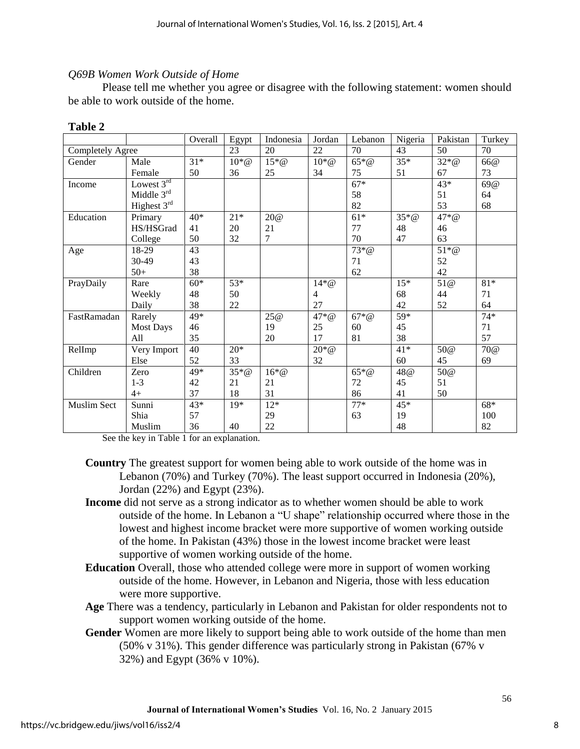## *Q69B Women Work Outside of Home*

Please tell me whether you agree or disagree with the following statement: women should be able to work outside of the home.

|                         |                  | Overall | Egypt              | Indonesia          | Jordan             | Lebanon       | Nigeria  | Pakistan | Turkey |
|-------------------------|------------------|---------|--------------------|--------------------|--------------------|---------------|----------|----------|--------|
| <b>Completely Agree</b> |                  |         | 23                 | 20                 | 22                 | 70            | 43       | 50       | 70     |
| Gender                  | Male             | $31*$   | $10 \times \omega$ | $15 \times \omega$ | $10 \times \omega$ | $65*@$        | $35*$    | $32*@$   | 66@    |
|                         | Female           | 50      | 36                 | 25                 | 34                 | 75            | 51       | 67       | 73     |
| Income                  | Lowest $3rd$     |         |                    |                    |                    | $67*$         |          | 43*      | 69@    |
|                         | Middle 3rd       |         |                    |                    |                    | 58            |          | 51       | 64     |
|                         | Highest 3rd      |         |                    |                    |                    | 82            |          | 53       | 68     |
| Education               | Primary          | $40*$   | $21*$              | 20@                |                    | $61*$         | $35 * @$ | $47 * @$ |        |
|                         | HS/HSGrad        | 41      | 20                 | 21                 |                    | 77            | 48       | 46       |        |
|                         | College          | 50      | 32                 | 7                  |                    | 70            | 47       | 63       |        |
| Age                     | 18-29            | 43      |                    |                    |                    | $73 * \omega$ |          | $51*@$   |        |
|                         | 30-49            | 43      |                    |                    |                    | 71            |          | 52       |        |
|                         | $50+$            | 38      |                    |                    |                    | 62            |          | 42       |        |
| PrayDaily               | Rare             | $60*$   | 53*                |                    | $14*@$             |               | $15*$    | 51@      | $81*$  |
|                         | Weekly           | 48      | 50                 |                    | 4                  |               | 68       | 44       | 71     |
|                         | Daily            | 38      | 22                 |                    | 27                 |               | 42       | 52       | 64     |
| FastRamadan             | Rarely           | $49*$   |                    | 25@                | $47 * @$           | $67*@$        | 59*      |          | $74*$  |
|                         | <b>Most Days</b> | 46      |                    | 19                 | 25                 | 60            | 45       |          | 71     |
|                         | All              | 35      |                    | 20                 | 17                 | 81            | 38       |          | 57     |
| RelImp                  | Very Import      | 40      | $20*$              |                    | $20 * @$           |               | $41*$    | 50@      | 70@    |
|                         | Else             | 52      | 33                 |                    | 32                 |               | 60       | 45       | 69     |
| Children                | Zero             | $49*$   | $35*$ @            | $16 \times Q$      |                    | $65 * @$      | 48@      | 50@      |        |
|                         | $1 - 3$          | 42      | 21                 | 21                 |                    | 72            | 45       | 51       |        |
|                         | $4+$             | 37      | 18                 | 31                 |                    | 86            | 41       | 50       |        |
| Muslim Sect             | Sunni            | 43*     | $19*$              | $12*$              |                    | $77*$         | 45*      |          | $68*$  |
|                         | Shia             | 57      |                    | 29                 |                    | 63            | 19       |          | 100    |
|                         | Muslim           | 36      | 40                 | 22                 |                    |               | 48       |          | 82     |

#### **Table 2**

See the key in Table 1 for an explanation.

- **Country** The greatest support for women being able to work outside of the home was in Lebanon (70%) and Turkey (70%). The least support occurred in Indonesia (20%), Jordan (22%) and Egypt (23%).
- **Income** did not serve as a strong indicator as to whether women should be able to work outside of the home. In Lebanon a "U shape" relationship occurred where those in the lowest and highest income bracket were more supportive of women working outside of the home. In Pakistan (43%) those in the lowest income bracket were least supportive of women working outside of the home.
- **Education** Overall, those who attended college were more in support of women working outside of the home. However, in Lebanon and Nigeria, those with less education were more supportive.
- **Age** There was a tendency, particularly in Lebanon and Pakistan for older respondents not to support women working outside of the home.
- **Gender** Women are more likely to support being able to work outside of the home than men (50% v 31%). This gender difference was particularly strong in Pakistan (67% v 32%) and Egypt (36% v 10%).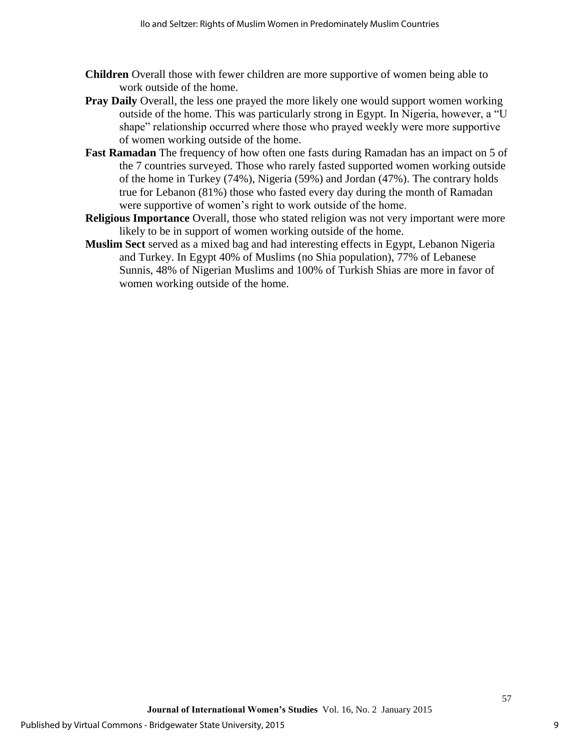- **Children** Overall those with fewer children are more supportive of women being able to work outside of the home.
- **Pray Daily** Overall, the less one prayed the more likely one would support women working outside of the home. This was particularly strong in Egypt. In Nigeria, however, a "U shape" relationship occurred where those who prayed weekly were more supportive of women working outside of the home.
- **Fast Ramadan** The frequency of how often one fasts during Ramadan has an impact on 5 of the 7 countries surveyed. Those who rarely fasted supported women working outside of the home in Turkey (74%), Nigeria (59%) and Jordan (47%). The contrary holds true for Lebanon (81%) those who fasted every day during the month of Ramadan were supportive of women's right to work outside of the home.
- **Religious Importance** Overall, those who stated religion was not very important were more likely to be in support of women working outside of the home.
- **Muslim Sect** served as a mixed bag and had interesting effects in Egypt, Lebanon Nigeria and Turkey. In Egypt 40% of Muslims (no Shia population), 77% of Lebanese Sunnis, 48% of Nigerian Muslims and 100% of Turkish Shias are more in favor of women working outside of the home.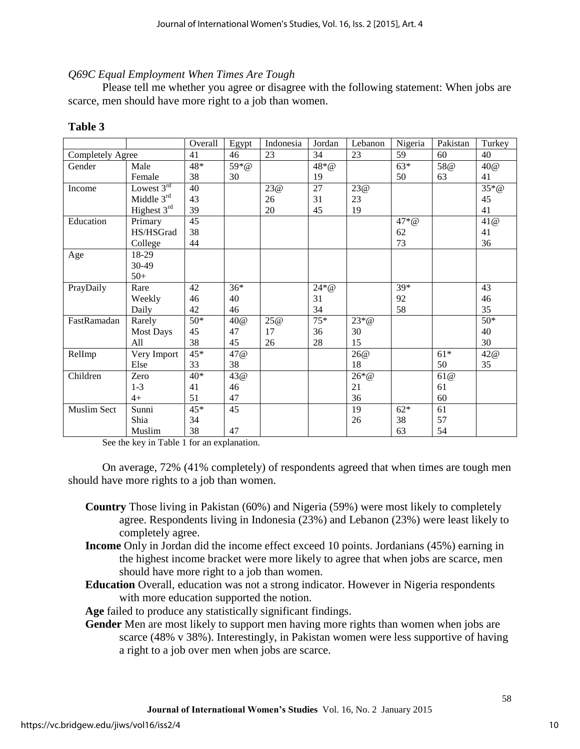## *Q69C Equal Employment When Times Are Tough*

Please tell me whether you agree or disagree with the following statement: When jobs are scarce, men should have more right to a job than women.

|                  |                  | Overall | Egypt | Indonesia | Jordan          | Lebanon  | Nigeria  | Pakistan | Turkey  |
|------------------|------------------|---------|-------|-----------|-----------------|----------|----------|----------|---------|
| Completely Agree |                  | 41      | 46    | 23        | 34              | 23       | 59       | 60       | 40      |
| Gender           | Male             | 48*     | 59*@  |           | $48 * @$        |          | $63*$    | 58@      | 40@     |
|                  | Female           | 38      | 30    |           | 19              |          | 50       | 63       | 41      |
| Income           | Lowest 3rd       | 40      |       | 23@       | $\overline{27}$ | 23@      |          |          | $35*$ @ |
|                  | Middle $3rd$     | 43      |       | 26        | 31              | 23       |          |          | 45      |
|                  | Highest 3rd      | 39      |       | 20        | 45              | 19       |          |          | 41      |
| Education        | Primary          | 45      |       |           |                 |          | $47 * @$ |          | 41@     |
|                  | HS/HSGrad        | 38      |       |           |                 |          | 62       |          | 41      |
|                  | College          | 44      |       |           |                 |          | 73       |          | 36      |
| Age              | 18-29            |         |       |           |                 |          |          |          |         |
|                  | 30-49            |         |       |           |                 |          |          |          |         |
|                  | $50+$            |         |       |           |                 |          |          |          |         |
| PrayDaily        | Rare             | 42      | $36*$ |           | $24*@$          |          | $39*$    |          | 43      |
|                  | Weekly           | 46      | 40    |           | 31              |          | 92       |          | 46      |
|                  | Daily            | 42      | 46    |           | 34              |          | 58       |          | 35      |
| FastRamadan      | Rarely           | $50*$   | 40@   | 25@       | $75*$           | $23*@$   |          |          | $50*$   |
|                  | <b>Most Days</b> | 45      | 47    | 17        | 36              | 30       |          |          | 40      |
|                  | All              | 38      | 45    | 26        | 28              | 15       |          |          | 30      |
| RelImp           | Very Import      | 45*     | 47 @  |           |                 | 26@      |          | $61*$    | 42@     |
|                  | Else             | 33      | 38    |           |                 | 18       |          | 50       | 35      |
| Children         | Zero             | 40*     | 43@   |           |                 | $26 * @$ |          | 61@      |         |
|                  | $1 - 3$          | 41      | 46    |           |                 | 21       |          | 61       |         |
|                  | $4+$             | 51      | 47    |           |                 | 36       |          | 60       |         |
| Muslim Sect      | Sunni            | $45*$   | 45    |           |                 | 19       | $62*$    | 61       |         |
|                  | Shia             | 34      |       |           |                 | 26       | 38       | 57       |         |
|                  | Muslim           | 38      | 47    |           |                 |          | 63       | 54       |         |

### **Table 3**

See the key in Table 1 for an explanation.

On average, 72% (41% completely) of respondents agreed that when times are tough men should have more rights to a job than women.

- **Country** Those living in Pakistan (60%) and Nigeria (59%) were most likely to completely agree. Respondents living in Indonesia (23%) and Lebanon (23%) were least likely to completely agree.
- **Income** Only in Jordan did the income effect exceed 10 points. Jordanians (45%) earning in the highest income bracket were more likely to agree that when jobs are scarce, men should have more right to a job than women.
- **Education** Overall, education was not a strong indicator. However in Nigeria respondents with more education supported the notion.

**Age** failed to produce any statistically significant findings.

**Gender** Men are most likely to support men having more rights than women when jobs are scarce (48% v 38%). Interestingly, in Pakistan women were less supportive of having a right to a job over men when jobs are scarce.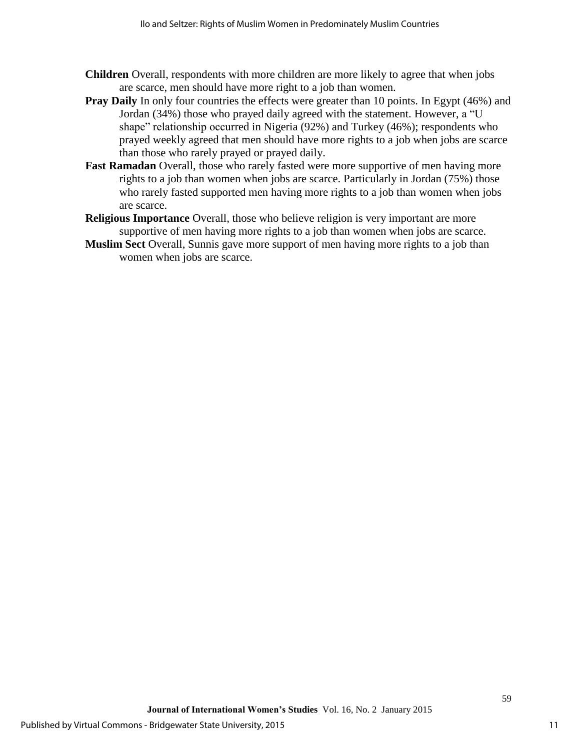- **Children** Overall, respondents with more children are more likely to agree that when jobs are scarce, men should have more right to a job than women.
- **Pray Daily** In only four countries the effects were greater than 10 points. In Egypt (46%) and Jordan (34%) those who prayed daily agreed with the statement. However, a "U shape" relationship occurred in Nigeria (92%) and Turkey (46%); respondents who prayed weekly agreed that men should have more rights to a job when jobs are scarce than those who rarely prayed or prayed daily.
- **Fast Ramadan** Overall, those who rarely fasted were more supportive of men having more rights to a job than women when jobs are scarce. Particularly in Jordan (75%) those who rarely fasted supported men having more rights to a job than women when jobs are scarce.
- **Religious Importance** Overall, those who believe religion is very important are more supportive of men having more rights to a job than women when jobs are scarce.
- **Muslim Sect** Overall, Sunnis gave more support of men having more rights to a job than women when jobs are scarce.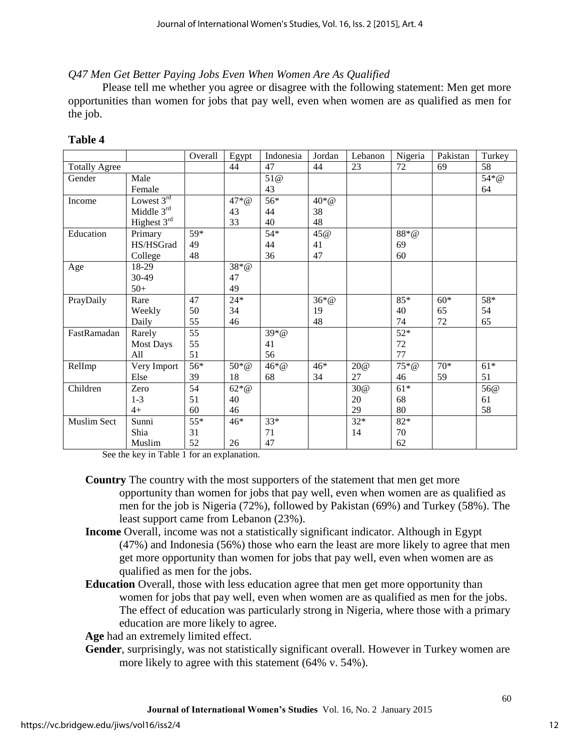*Q47 Men Get Better Paying Jobs Even When Women Are As Qualified* 

Please tell me whether you agree or disagree with the following statement: Men get more opportunities than women for jobs that pay well, even when women are as qualified as men for the job.

# **Table 4**

|                      |                  | Overall         | Egypt              | Indonesia | Jordan             | Lebanon | Nigeria | Pakistan | Turkey |
|----------------------|------------------|-----------------|--------------------|-----------|--------------------|---------|---------|----------|--------|
| <b>Totally Agree</b> |                  |                 | 44                 | 47        | 44                 | 23      | 72      | 69       | 58     |
| Gender               | Male             |                 |                    | 51@       |                    |         |         |          | 54*@   |
|                      | Female           |                 |                    | 43        |                    |         |         |          | 64     |
| Income               | Lowest 3rd       |                 | $47 * @$           | 56*       | $40 \times \omega$ |         |         |          |        |
|                      | Middle $3rd$     |                 | 43                 | 44        | 38                 |         |         |          |        |
|                      | Highest 3rd      |                 | 33                 | 40        | 48                 |         |         |          |        |
| Education            | Primary          | 59*             |                    | $54*$     | 45@                |         | $88*@$  |          |        |
|                      | HS/HSGrad        | 49              |                    | 44        | 41                 |         | 69      |          |        |
|                      | College          | 48              |                    | 36        | 47                 |         | 60      |          |        |
| Age                  | 18-29            |                 | $38 * @$           |           |                    |         |         |          |        |
|                      | 30-49            |                 | 47                 |           |                    |         |         |          |        |
|                      | $50+$            |                 | 49                 |           |                    |         |         |          |        |
| PrayDaily            | Rare             | 47              | $24*$              |           | $36 * @$           |         | 85*     | $60*$    | 58*    |
|                      | Weekly           | 50              | 34                 |           | 19                 |         | 40      | 65       | 54     |
|                      | Daily            | 55              | 46                 |           | 48                 |         | 74      | 72       | 65     |
| FastRamadan          | Rarely           | $\overline{55}$ |                    | $39 * @$  |                    |         | $52*$   |          |        |
|                      | <b>Most Days</b> | 55              |                    | 41        |                    |         | 72      |          |        |
|                      | All              | 51              |                    | 56        |                    |         | 77      |          |        |
| RelImp               | Very Import      | $56*$           | $50 \times \omega$ | $46 * @$  | $46*$              | 20@     | $75*@$  | $70*$    | $61*$  |
|                      | Else             | 39              | 18                 | 68        | 34                 | 27      | 46      | 59       | 51     |
| Children             | Zero             | 54              | $62 \times \omega$ |           |                    | 30@     | $61*$   |          | 56@    |
|                      | $1 - 3$          | 51              | 40                 |           |                    | 20      | 68      |          | 61     |
|                      | $4+$             | 60              | 46                 |           |                    | 29      | 80      |          | 58     |
| <b>Muslim Sect</b>   | Sunni            | $55*$           | $46*$              | $33*$     |                    | $32*$   | $82*$   |          |        |
|                      | Shia             | 31              |                    | 71        |                    | 14      | 70      |          |        |
|                      | Muslim           | 52              | 26                 | 47        |                    |         | 62      |          |        |

See the key in Table 1 for an explanation.

- **Country** The country with the most supporters of the statement that men get more opportunity than women for jobs that pay well, even when women are as qualified as men for the job is Nigeria (72%), followed by Pakistan (69%) and Turkey (58%). The least support came from Lebanon (23%).
- **Income** Overall, income was not a statistically significant indicator. Although in Egypt (47%) and Indonesia (56%) those who earn the least are more likely to agree that men get more opportunity than women for jobs that pay well, even when women are as qualified as men for the jobs.
- **Education** Overall, those with less education agree that men get more opportunity than women for jobs that pay well, even when women are as qualified as men for the jobs. The effect of education was particularly strong in Nigeria, where those with a primary education are more likely to agree.

**Age** had an extremely limited effect.

**Gender**, surprisingly, was not statistically significant overall. However in Turkey women are more likely to agree with this statement (64% v. 54%).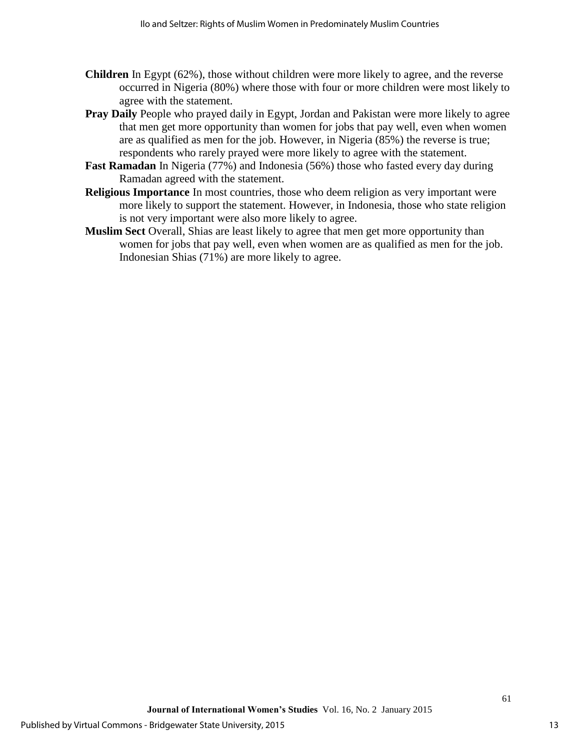- **Children** In Egypt (62%), those without children were more likely to agree, and the reverse occurred in Nigeria (80%) where those with four or more children were most likely to agree with the statement.
- **Pray Daily** People who prayed daily in Egypt, Jordan and Pakistan were more likely to agree that men get more opportunity than women for jobs that pay well, even when women are as qualified as men for the job. However, in Nigeria (85%) the reverse is true; respondents who rarely prayed were more likely to agree with the statement.
- **Fast Ramadan** In Nigeria (77%) and Indonesia (56%) those who fasted every day during Ramadan agreed with the statement.
- **Religious Importance** In most countries, those who deem religion as very important were more likely to support the statement. However, in Indonesia, those who state religion is not very important were also more likely to agree.
- **Muslim Sect** Overall, Shias are least likely to agree that men get more opportunity than women for jobs that pay well, even when women are as qualified as men for the job. Indonesian Shias (71%) are more likely to agree.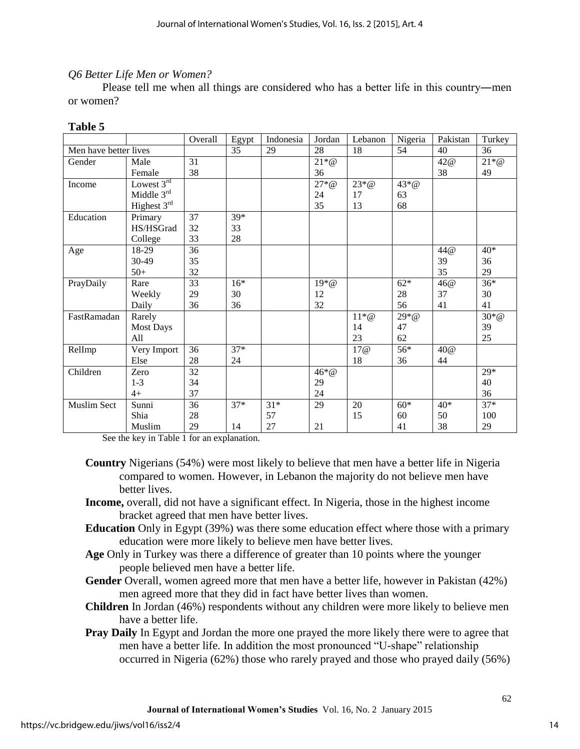# *Q6 Better Life Men or Women?*

Please tell me when all things are considered who has a better life in this country―men or women?

### **Table 5**

|                       |                  | Overall         | Egypt | Indonesia | Jordan             | Lebanon       | Nigeria  | Pakistan | Turkey   |
|-----------------------|------------------|-----------------|-------|-----------|--------------------|---------------|----------|----------|----------|
| Men have better lives |                  |                 | 35    | 29        | 28                 | 18            | 54       | 40       | 36       |
| Gender                | Male             | 31              |       |           | $21 \times \omega$ |               |          | 42@      | $21 * @$ |
|                       | Female           | 38              |       |           | 36                 |               |          | 38       | 49       |
| Income                | Lowest $3rd$     |                 |       |           | $27 * @$           | $23 * @$      | $43 * @$ |          |          |
|                       | Middle $3rd$     |                 |       |           | 24                 | 17            | 63       |          |          |
|                       | Highest 3rd      |                 |       |           | 35                 | 13            | 68       |          |          |
| Education             | Primary          | 37              | 39*   |           |                    |               |          |          |          |
|                       | HS/HSGrad        | 32              | 33    |           |                    |               |          |          |          |
|                       | College          | 33              | 28    |           |                    |               |          |          |          |
| Age                   | 18-29            | 36              |       |           |                    |               |          | 44@      | $40*$    |
|                       | 30-49            | 35              |       |           |                    |               |          | 39       | 36       |
|                       | $50+$            | 32              |       |           |                    |               |          | 35       | 29       |
| PrayDaily             | Rare             | 33              | $16*$ |           | $19*@$             |               | $62*$    | 46@      | $36*$    |
|                       | Weekly           | 29              | 30    |           | 12                 |               | 28       | 37       | 30       |
|                       | Daily            | 36              | 36    |           | 32                 |               | 56       | 41       | 41       |
| FastRamadan           | Rarely           |                 |       |           |                    | $11 \times Q$ | $29*@$   |          | $30*$ @  |
|                       | <b>Most Days</b> |                 |       |           |                    | 14            | 47       |          | 39       |
|                       | All              |                 |       |           |                    | 23            | 62       |          | 25       |
| RelImp                | Very Import      | 36              | $37*$ |           |                    | 17@           | 56*      | 40@      |          |
|                       | Else             | 28              | 24    |           |                    | 18            | 36       | 44       |          |
| Children              | Zero             | $\overline{32}$ |       |           | $46 * @$           |               |          |          | $29*$    |
|                       | $1 - 3$          | 34              |       |           | 29                 |               |          |          | 40       |
|                       | $4+$             | 37              |       |           | 24                 |               |          |          | 36       |
| <b>Muslim Sect</b>    | Sunni            | 36              | $37*$ | $31*$     | 29                 | 20            | $60*$    | $40*$    | $37*$    |
|                       | Shia             | 28              |       | 57        |                    | 15            | 60       | 50       | 100      |
|                       | Muslim           | 29              | 14    | 27        | 21                 |               | 41       | 38       | 29       |

See the key in Table 1 for an explanation.

- **Country** Nigerians (54%) were most likely to believe that men have a better life in Nigeria compared to women. However, in Lebanon the majority do not believe men have better lives.
- **Income,** overall, did not have a significant effect. In Nigeria, those in the highest income bracket agreed that men have better lives.
- **Education** Only in Egypt (39%) was there some education effect where those with a primary education were more likely to believe men have better lives.
- **Age** Only in Turkey was there a difference of greater than 10 points where the younger people believed men have a better life.
- **Gender** Overall, women agreed more that men have a better life, however in Pakistan (42%) men agreed more that they did in fact have better lives than women.
- **Children** In Jordan (46%) respondents without any children were more likely to believe men have a better life.
- **Pray Daily** In Egypt and Jordan the more one prayed the more likely there were to agree that men have a better life. In addition the most pronounced "U-shape" relationship occurred in Nigeria (62%) those who rarely prayed and those who prayed daily (56%)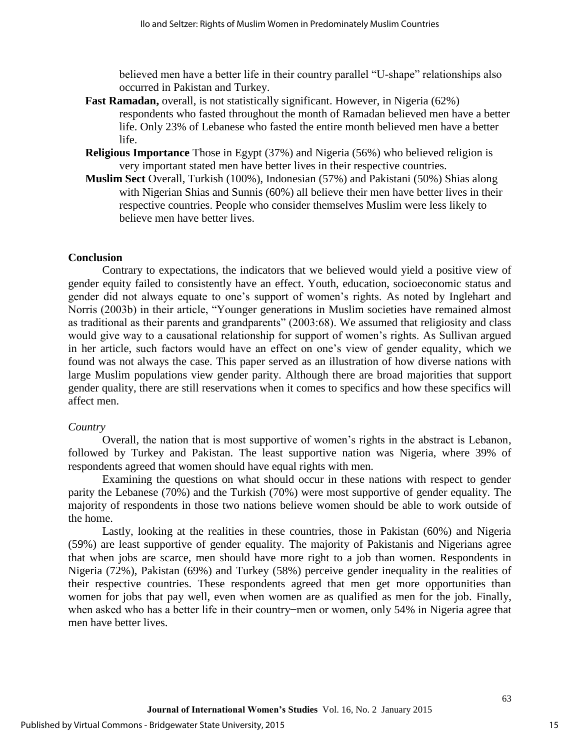believed men have a better life in their country parallel "U-shape" relationships also occurred in Pakistan and Turkey.

- **Fast Ramadan,** overall, is not statistically significant. However, in Nigeria (62%) respondents who fasted throughout the month of Ramadan believed men have a better life. Only 23% of Lebanese who fasted the entire month believed men have a better life.
- **Religious Importance** Those in Egypt (37%) and Nigeria (56%) who believed religion is very important stated men have better lives in their respective countries.
- **Muslim Sect** Overall, Turkish (100%), Indonesian (57%) and Pakistani (50%) Shias along with Nigerian Shias and Sunnis (60%) all believe their men have better lives in their respective countries. People who consider themselves Muslim were less likely to believe men have better lives.

# **Conclusion**

Contrary to expectations, the indicators that we believed would yield a positive view of gender equity failed to consistently have an effect. Youth, education, socioeconomic status and gender did not always equate to one's support of women's rights. As noted by Inglehart and Norris (2003b) in their article, "Younger generations in Muslim societies have remained almost as traditional as their parents and grandparents" (2003:68). We assumed that religiosity and class would give way to a causational relationship for support of women's rights. As Sullivan argued in her article, such factors would have an effect on one's view of gender equality, which we found was not always the case. This paper served as an illustration of how diverse nations with large Muslim populations view gender parity. Although there are broad majorities that support gender quality, there are still reservations when it comes to specifics and how these specifics will affect men.

## *Country*

Overall, the nation that is most supportive of women's rights in the abstract is Lebanon, followed by Turkey and Pakistan. The least supportive nation was Nigeria, where 39% of respondents agreed that women should have equal rights with men.

Examining the questions on what should occur in these nations with respect to gender parity the Lebanese (70%) and the Turkish (70%) were most supportive of gender equality. The majority of respondents in those two nations believe women should be able to work outside of the home.

Lastly, looking at the realities in these countries, those in Pakistan (60%) and Nigeria (59%) are least supportive of gender equality. The majority of Pakistanis and Nigerians agree that when jobs are scarce, men should have more right to a job than women. Respondents in Nigeria (72%), Pakistan (69%) and Turkey (58%) perceive gender inequality in the realities of their respective countries. These respondents agreed that men get more opportunities than women for jobs that pay well, even when women are as qualified as men for the job. Finally, when asked who has a better life in their country−men or women, only 54% in Nigeria agree that men have better lives.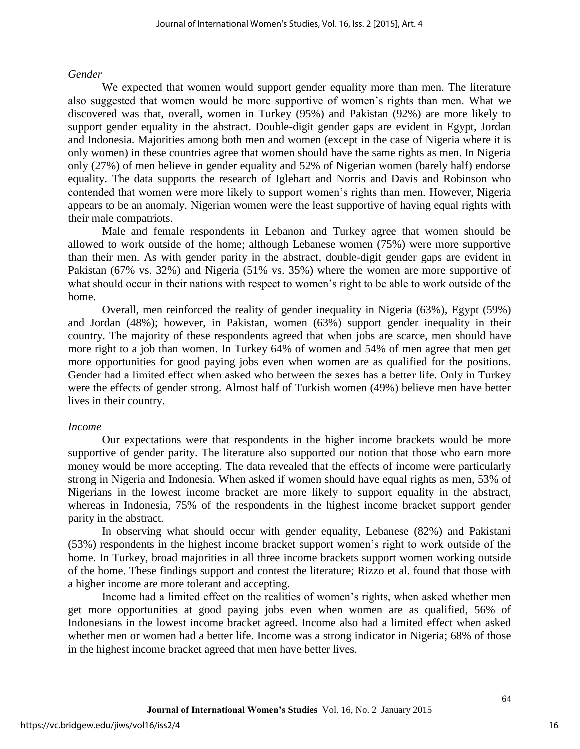#### *Gender*

We expected that women would support gender equality more than men. The literature also suggested that women would be more supportive of women's rights than men. What we discovered was that, overall, women in Turkey (95%) and Pakistan (92%) are more likely to support gender equality in the abstract. Double-digit gender gaps are evident in Egypt, Jordan and Indonesia. Majorities among both men and women (except in the case of Nigeria where it is only women) in these countries agree that women should have the same rights as men. In Nigeria only (27%) of men believe in gender equality and 52% of Nigerian women (barely half) endorse equality. The data supports the research of Iglehart and Norris and Davis and Robinson who contended that women were more likely to support women's rights than men. However, Nigeria appears to be an anomaly. Nigerian women were the least supportive of having equal rights with their male compatriots.

 Male and female respondents in Lebanon and Turkey agree that women should be allowed to work outside of the home; although Lebanese women (75%) were more supportive than their men. As with gender parity in the abstract, double-digit gender gaps are evident in Pakistan (67% vs. 32%) and Nigeria (51% vs. 35%) where the women are more supportive of what should occur in their nations with respect to women's right to be able to work outside of the home.

 Overall, men reinforced the reality of gender inequality in Nigeria (63%), Egypt (59%) and Jordan (48%); however, in Pakistan, women (63%) support gender inequality in their country. The majority of these respondents agreed that when jobs are scarce, men should have more right to a job than women. In Turkey 64% of women and 54% of men agree that men get more opportunities for good paying jobs even when women are as qualified for the positions. Gender had a limited effect when asked who between the sexes has a better life. Only in Turkey were the effects of gender strong. Almost half of Turkish women (49%) believe men have better lives in their country.

#### *Income*

Our expectations were that respondents in the higher income brackets would be more supportive of gender parity. The literature also supported our notion that those who earn more money would be more accepting. The data revealed that the effects of income were particularly strong in Nigeria and Indonesia. When asked if women should have equal rights as men, 53% of Nigerians in the lowest income bracket are more likely to support equality in the abstract, whereas in Indonesia, 75% of the respondents in the highest income bracket support gender parity in the abstract.

In observing what should occur with gender equality, Lebanese (82%) and Pakistani (53%) respondents in the highest income bracket support women's right to work outside of the home. In Turkey, broad majorities in all three income brackets support women working outside of the home. These findings support and contest the literature; Rizzo et al. found that those with a higher income are more tolerant and accepting.

Income had a limited effect on the realities of women's rights, when asked whether men get more opportunities at good paying jobs even when women are as qualified, 56% of Indonesians in the lowest income bracket agreed. Income also had a limited effect when asked whether men or women had a better life. Income was a strong indicator in Nigeria; 68% of those in the highest income bracket agreed that men have better lives.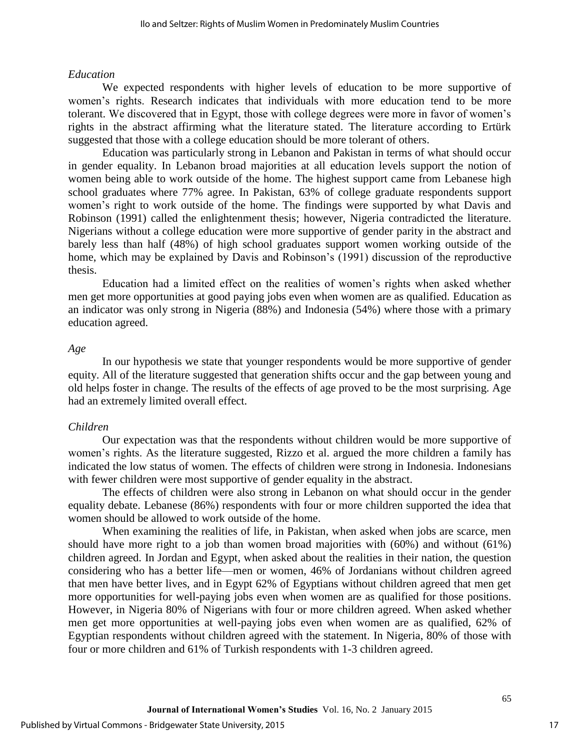#### *Education*

We expected respondents with higher levels of education to be more supportive of women's rights. Research indicates that individuals with more education tend to be more tolerant. We discovered that in Egypt, those with college degrees were more in favor of women's rights in the abstract affirming what the literature stated. The literature according to Ertürk suggested that those with a college education should be more tolerant of others.

Education was particularly strong in Lebanon and Pakistan in terms of what should occur in gender equality. In Lebanon broad majorities at all education levels support the notion of women being able to work outside of the home. The highest support came from Lebanese high school graduates where 77% agree. In Pakistan, 63% of college graduate respondents support women's right to work outside of the home. The findings were supported by what Davis and Robinson (1991) called the enlightenment thesis; however, Nigeria contradicted the literature. Nigerians without a college education were more supportive of gender parity in the abstract and barely less than half (48%) of high school graduates support women working outside of the home, which may be explained by Davis and Robinson's (1991) discussion of the reproductive thesis.

Education had a limited effect on the realities of women's rights when asked whether men get more opportunities at good paying jobs even when women are as qualified. Education as an indicator was only strong in Nigeria (88%) and Indonesia (54%) where those with a primary education agreed.

#### *Age*

In our hypothesis we state that younger respondents would be more supportive of gender equity. All of the literature suggested that generation shifts occur and the gap between young and old helps foster in change. The results of the effects of age proved to be the most surprising. Age had an extremely limited overall effect.

#### *Children*

Our expectation was that the respondents without children would be more supportive of women's rights. As the literature suggested, Rizzo et al. argued the more children a family has indicated the low status of women. The effects of children were strong in Indonesia. Indonesians with fewer children were most supportive of gender equality in the abstract.

The effects of children were also strong in Lebanon on what should occur in the gender equality debate. Lebanese (86%) respondents with four or more children supported the idea that women should be allowed to work outside of the home.

When examining the realities of life, in Pakistan, when asked when jobs are scarce, men should have more right to a job than women broad majorities with (60%) and without (61%) children agreed. In Jordan and Egypt, when asked about the realities in their nation, the question considering who has a better life—men or women, 46% of Jordanians without children agreed that men have better lives, and in Egypt 62% of Egyptians without children agreed that men get more opportunities for well-paying jobs even when women are as qualified for those positions. However, in Nigeria 80% of Nigerians with four or more children agreed. When asked whether men get more opportunities at well-paying jobs even when women are as qualified, 62% of Egyptian respondents without children agreed with the statement. In Nigeria, 80% of those with four or more children and 61% of Turkish respondents with 1-3 children agreed.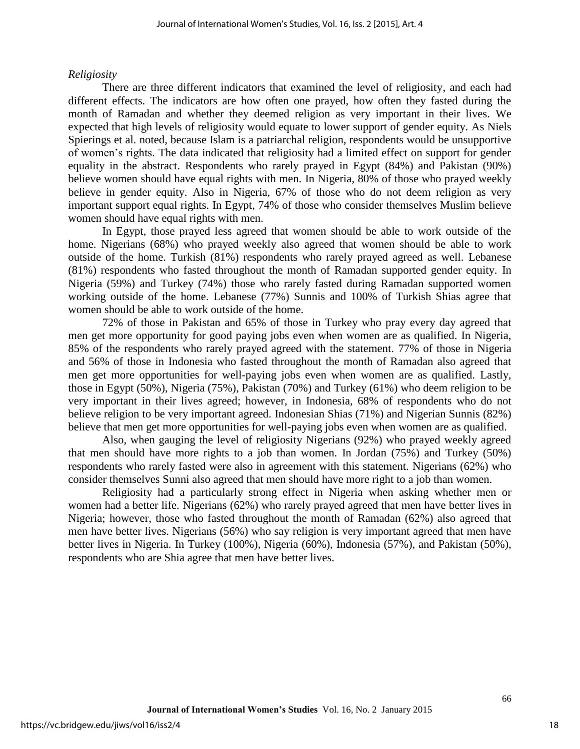## *Religiosity*

There are three different indicators that examined the level of religiosity, and each had different effects. The indicators are how often one prayed, how often they fasted during the month of Ramadan and whether they deemed religion as very important in their lives. We expected that high levels of religiosity would equate to lower support of gender equity. As Niels Spierings et al. noted, because Islam is a patriarchal religion, respondents would be unsupportive of women's rights. The data indicated that religiosity had a limited effect on support for gender equality in the abstract. Respondents who rarely prayed in Egypt (84%) and Pakistan (90%) believe women should have equal rights with men. In Nigeria, 80% of those who prayed weekly believe in gender equity. Also in Nigeria, 67% of those who do not deem religion as very important support equal rights. In Egypt, 74% of those who consider themselves Muslim believe women should have equal rights with men.

 In Egypt, those prayed less agreed that women should be able to work outside of the home. Nigerians (68%) who prayed weekly also agreed that women should be able to work outside of the home. Turkish (81%) respondents who rarely prayed agreed as well. Lebanese (81%) respondents who fasted throughout the month of Ramadan supported gender equity. In Nigeria (59%) and Turkey (74%) those who rarely fasted during Ramadan supported women working outside of the home. Lebanese (77%) Sunnis and 100% of Turkish Shias agree that women should be able to work outside of the home.

72% of those in Pakistan and 65% of those in Turkey who pray every day agreed that men get more opportunity for good paying jobs even when women are as qualified. In Nigeria, 85% of the respondents who rarely prayed agreed with the statement. 77% of those in Nigeria and 56% of those in Indonesia who fasted throughout the month of Ramadan also agreed that men get more opportunities for well-paying jobs even when women are as qualified. Lastly, those in Egypt (50%), Nigeria (75%), Pakistan (70%) and Turkey (61%) who deem religion to be very important in their lives agreed; however, in Indonesia, 68% of respondents who do not believe religion to be very important agreed. Indonesian Shias (71%) and Nigerian Sunnis (82%) believe that men get more opportunities for well-paying jobs even when women are as qualified.

Also, when gauging the level of religiosity Nigerians (92%) who prayed weekly agreed that men should have more rights to a job than women. In Jordan (75%) and Turkey (50%) respondents who rarely fasted were also in agreement with this statement. Nigerians (62%) who consider themselves Sunni also agreed that men should have more right to a job than women.

Religiosity had a particularly strong effect in Nigeria when asking whether men or women had a better life. Nigerians (62%) who rarely prayed agreed that men have better lives in Nigeria; however, those who fasted throughout the month of Ramadan (62%) also agreed that men have better lives. Nigerians (56%) who say religion is very important agreed that men have better lives in Nigeria. In Turkey (100%), Nigeria (60%), Indonesia (57%), and Pakistan (50%), respondents who are Shia agree that men have better lives.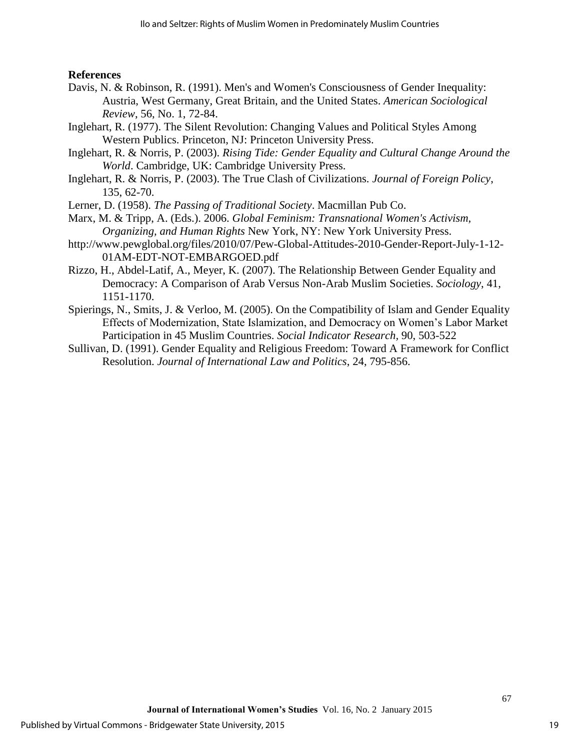## **References**

- Davis, N. & Robinson, R. (1991). Men's and Women's Consciousness of Gender Inequality: Austria, West Germany, Great Britain, and the United States. *American Sociological Review*, 56, No. 1, 72-84.
- Inglehart, R. (1977). The Silent Revolution: Changing Values and Political Styles Among Western Publics. Princeton, NJ: Princeton University Press.
- Inglehart, R. & Norris, P. (2003). *Rising Tide: Gender Equality and Cultural Change Around the World*. Cambridge, UK: Cambridge University Press.
- Inglehart, R. & Norris, P. (2003). The True Clash of Civilizations. *Journal of Foreign Policy*, 135, 62-70.
- Lerner, D. (1958). *The Passing of Traditional Society*. Macmillan Pub Co.
- Marx, M. & Tripp, A. (Eds.). 2006. *Global Feminism: Transnational Women's Activism, Organizing, and Human Rights* New York, NY: New York University Press.
- http://www.pewglobal.org/files/2010/07/Pew-Global-Attitudes-2010-Gender-Report-July-1-12- 01AM-EDT-NOT-EMBARGOED.pdf
- Rizzo, H., Abdel-Latif, A., Meyer, K. (2007). The Relationship Between Gender Equality and Democracy: A Comparison of Arab Versus Non-Arab Muslim Societies. *Sociology*, 41, 1151-1170.
- Spierings, N., Smits, J. & Verloo, M. (2005). On the Compatibility of Islam and Gender Equality Effects of Modernization, State Islamization, and Democracy on Women's Labor Market Participation in 45 Muslim Countries. *Social Indicator Research,* 90, 503-522
- Sullivan, D. (1991). Gender Equality and Religious Freedom: Toward A Framework for Conflict Resolution. *Journal of International Law and Politics*, 24, 795-856.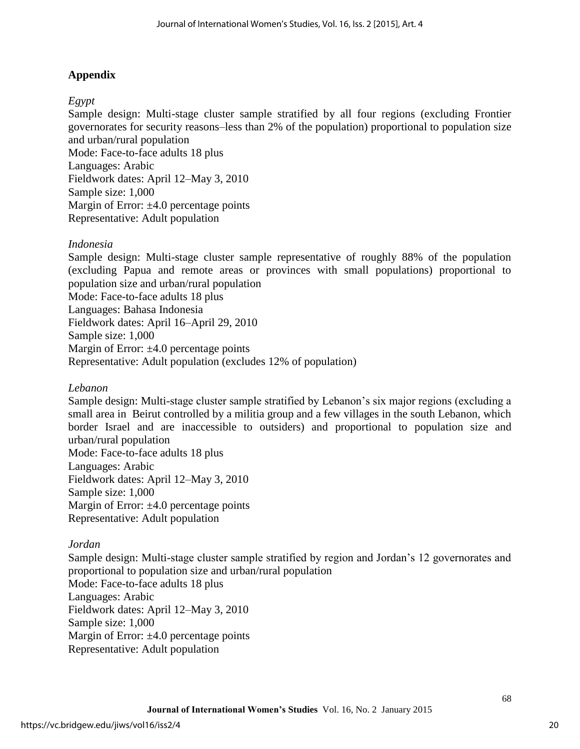# **Appendix**

# *Egypt*

Sample design: Multi-stage cluster sample stratified by all four regions (excluding Frontier governorates for security reasons–less than 2% of the population) proportional to population size and urban/rural population

Mode: Face-to-face adults 18 plus Languages: Arabic Fieldwork dates: April 12–May 3, 2010 Sample size: 1,000 Margin of Error:  $\pm 4.0$  percentage points Representative: Adult population

## *Indonesia*

Sample design: Multi-stage cluster sample representative of roughly 88% of the population (excluding Papua and remote areas or provinces with small populations) proportional to population size and urban/rural population Mode: Face-to-face adults 18 plus Languages: Bahasa Indonesia Fieldwork dates: April 16–April 29, 2010 Sample size: 1,000 Margin of Error:  $\pm 4.0$  percentage points Representative: Adult population (excludes 12% of population)

# *Lebanon*

Sample design: Multi-stage cluster sample stratified by Lebanon's six major regions (excluding a small area in Beirut controlled by a militia group and a few villages in the south Lebanon, which border Israel and are inaccessible to outsiders) and proportional to population size and urban/rural population Mode: Face-to-face adults 18 plus

Languages: Arabic Fieldwork dates: April 12–May 3, 2010 Sample size: 1,000 Margin of Error:  $\pm 4.0$  percentage points Representative: Adult population

# *Jordan*

Sample design: Multi-stage cluster sample stratified by region and Jordan's 12 governorates and proportional to population size and urban/rural population Mode: Face-to-face adults 18 plus Languages: Arabic Fieldwork dates: April 12–May 3, 2010 Sample size: 1,000 Margin of Error:  $\pm 4.0$  percentage points Representative: Adult population